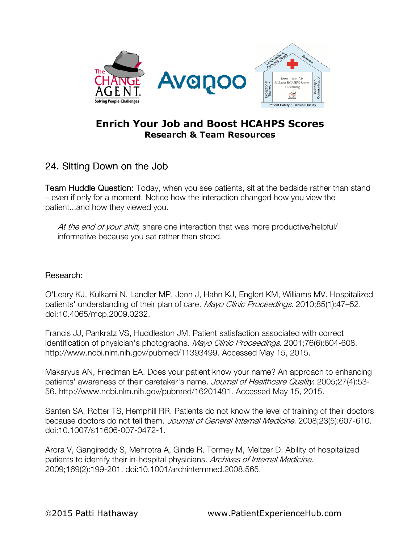

## Enrich Your Job and Boost HCAHPS Scores Research & Team Resources

## 24. Sitting Down on the Job

Team Huddle Question: Today, when you see patients, sit at the bedside rather than stand – even if only for a moment. Notice how the interaction changed how you view the patient...and how they viewed you.

At the end of your shift, share one interaction that was more productive/helpful/ informative because you sat rather than stood.

## Research:

O'Leary KJ, Kulkarni N, Landler MP, Jeon J, Hahn KJ, Englert KM, Williams MV. Hospitalized patients' understanding of their plan of care. Mayo Clinic Proceedings. 2010;85(1):47-52. doi:10.4065/mcp.2009.0232.

Francis JJ, Pankratz VS, Huddleston JM. Patient satisfaction associated with correct identification of physician's photographs. Mayo Clinic Proceedings. 2001;76(6):604-608. http://www.ncbi.nlm.nih.gov/pubmed/11393499. Accessed May 15, 2015.

Makaryus AN, Friedman EA. Does your patient know your name? An approach to enhancing patients' awareness of their caretaker's name. Journal of Healthcare Quality. 2005;27(4):53-56. http://www.ncbi.nlm.nih.gov/pubmed/16201491. Accessed May 15, 2015.

Santen SA, Rotter TS, Hemphill RR. Patients do not know the level of training of their doctors because doctors do not tell them. Journal of General Internal Medicine. 2008;23(5):607-610. doi:10.1007/s11606-007-0472-1.

Arora V, Gangireddy S, Mehrotra A, Ginde R, Tormey M, Meltzer D. Ability of hospitalized patients to identify their in-hospital physicians. Archives of Internal Medicine. 2009;169(2):199-201. doi:10.1001/archinternmed.2008.565.